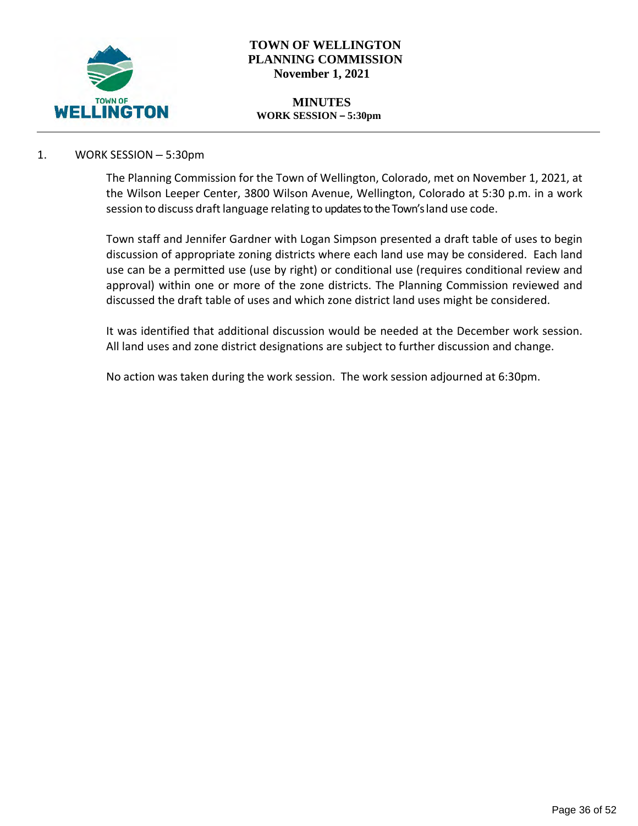

## **TOWN OF WELLINGTON PLANNING COMMISSION November 1, 2021**

#### **MINUTES WORK SESSION – 5:30pm**

## 1. WORK SESSION – 5:30pm

The Planning Commission for the Town of Wellington, Colorado, met on November 1, 2021, at the Wilson Leeper Center, 3800 Wilson Avenue, Wellington, Colorado at 5:30 p.m. in a work session to discuss draft language relating to updates to the Town's land use code.

Town staff and Jennifer Gardner with Logan Simpson presented a draft table of uses to begin discussion of appropriate zoning districts where each land use may be considered. Each land use can be a permitted use (use by right) or conditional use (requires conditional review and approval) within one or more of the zone districts. The Planning Commission reviewed and discussed the draft table of uses and which zone district land uses might be considered.

It was identified that additional discussion would be needed at the December work session. All land uses and zone district designations are subject to further discussion and change.

No action was taken during the work session. The work session adjourned at 6:30pm.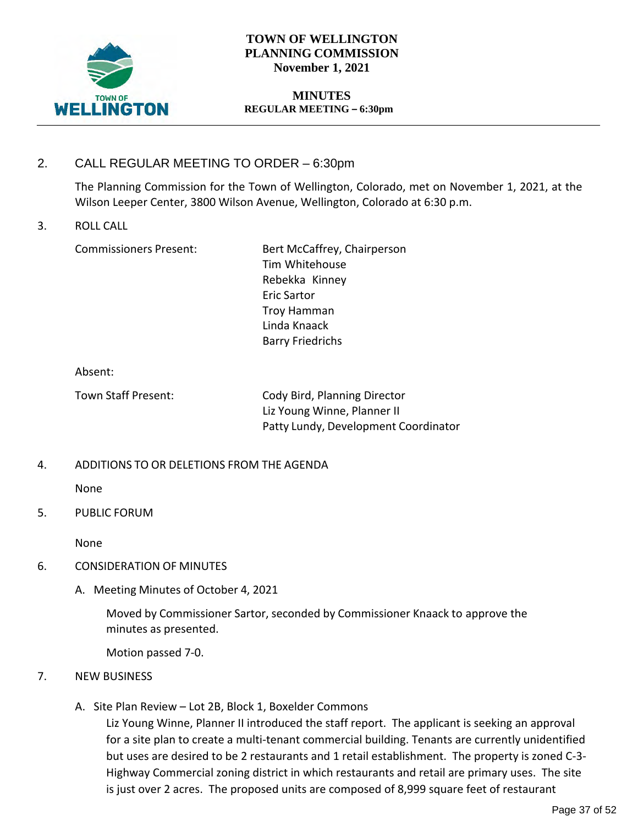

## **TOWN OF WELLINGTON PLANNING COMMISSION November 1, 2021**

### **MINUTES REGULAR MEETING – 6:30pm**

# 2. CALL REGULAR MEETING TO ORDER – 6:30pm

The Planning Commission for the Town of Wellington, Colorado, met on November 1, 2021, at the Wilson Leeper Center, 3800 Wilson Avenue, Wellington, Colorado at 6:30 p.m.

### 3. ROLL CALL

Commissioners Present: Bert McCaffrey, Chairperson Tim Whitehouse Rebekka Kinney Eric Sartor Troy Hamman Linda Knaack Barry Friedrichs

#### Absent:

Town Staff Present: Cody Bird, Planning Director Liz Young Winne, Planner II Patty Lundy, Development Coordinator

## 4. ADDITIONS TO OR DELETIONS FROM THE AGENDA

None

## 5. PUBLIC FORUM

None

## 6. CONSIDERATION OF MINUTES

A. Meeting Minutes of October 4, 2021

Moved by Commissioner Sartor, seconded by Commissioner Knaack to approve the minutes as presented.

Motion passed 7-0.

## 7. NEW BUSINESS

A. Site Plan Review – Lot 2B, Block 1, Boxelder Commons

Liz Young Winne, Planner II introduced the staff report. The applicant is seeking an approval for a site plan to create a multi-tenant commercial building. Tenants are currently unidentified but uses are desired to be 2 restaurants and 1 retail establishment. The property is zoned C-3- Highway Commercial zoning district in which restaurants and retail are primary uses. The site is just over 2 acres. The proposed units are composed of 8,999 square feet of restaurant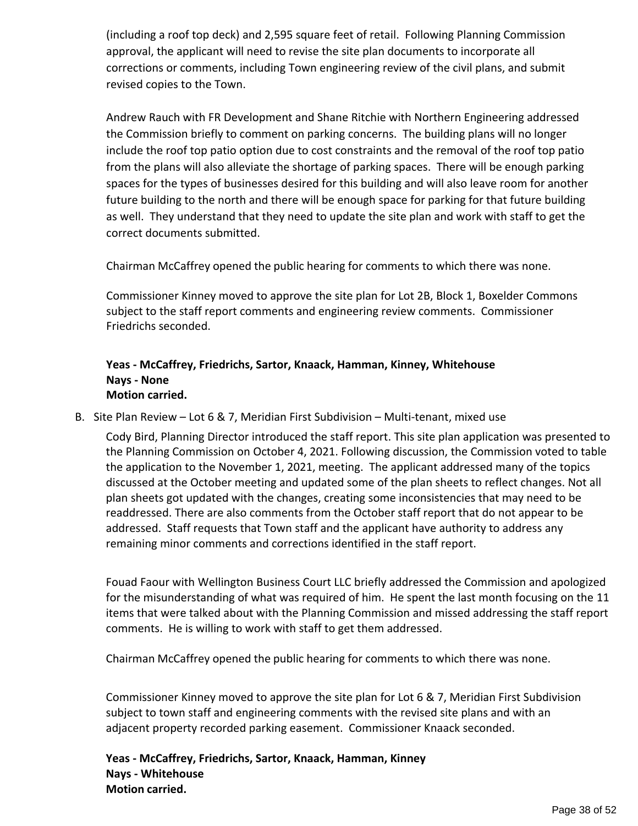(including a roof top deck) and 2,595 square feet of retail. Following Planning Commission approval, the applicant will need to revise the site plan documents to incorporate all corrections or comments, including Town engineering review of the civil plans, and submit revised copies to the Town.

Andrew Rauch with FR Development and Shane Ritchie with Northern Engineering addressed the Commission briefly to comment on parking concerns. The building plans will no longer include the roof top patio option due to cost constraints and the removal of the roof top patio from the plans will also alleviate the shortage of parking spaces. There will be enough parking spaces for the types of businesses desired for this building and will also leave room for another future building to the north and there will be enough space for parking for that future building as well. They understand that they need to update the site plan and work with staff to get the correct documents submitted.

Chairman McCaffrey opened the public hearing for comments to which there was none.

Commissioner Kinney moved to approve the site plan for Lot 2B, Block 1, Boxelder Commons subject to the staff report comments and engineering review comments. Commissioner Friedrichs seconded.

## **Yeas - McCaffrey, Friedrichs, Sartor, Knaack, Hamman, Kinney, Whitehouse Nays - None Motion carried.**

B. Site Plan Review – Lot 6 & 7, Meridian First Subdivision – Multi-tenant, mixed use

Cody Bird, Planning Director introduced the staff report. This site plan application was presented to the Planning Commission on October 4, 2021. Following discussion, the Commission voted to table the application to the November 1, 2021, meeting. The applicant addressed many of the topics discussed at the October meeting and updated some of the plan sheets to reflect changes. Not all plan sheets got updated with the changes, creating some inconsistencies that may need to be readdressed. There are also comments from the October staff report that do not appear to be addressed. Staff requests that Town staff and the applicant have authority to address any remaining minor comments and corrections identified in the staff report.

Fouad Faour with Wellington Business Court LLC briefly addressed the Commission and apologized for the misunderstanding of what was required of him. He spent the last month focusing on the 11 items that were talked about with the Planning Commission and missed addressing the staff report comments. He is willing to work with staff to get them addressed.

Chairman McCaffrey opened the public hearing for comments to which there was none.

Commissioner Kinney moved to approve the site plan for Lot 6 & 7, Meridian First Subdivision subject to town staff and engineering comments with the revised site plans and with an adjacent property recorded parking easement. Commissioner Knaack seconded.

**Yeas - McCaffrey, Friedrichs, Sartor, Knaack, Hamman, Kinney Nays - Whitehouse Motion carried.**